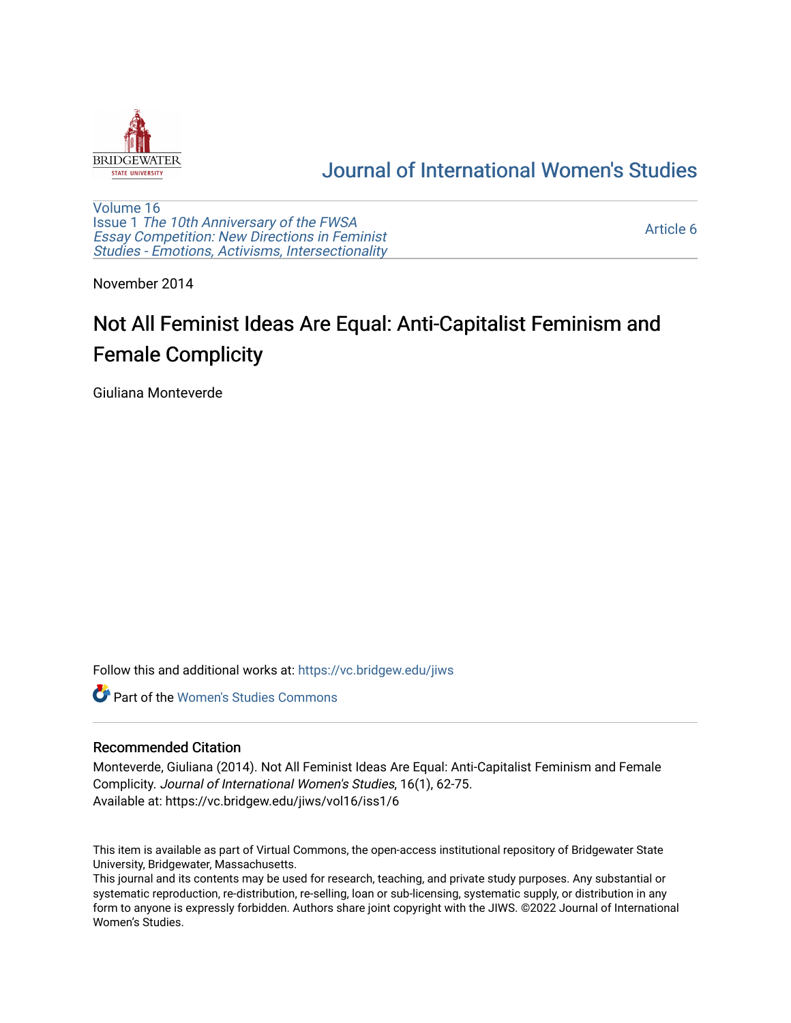

## [Journal of International Women's Studies](https://vc.bridgew.edu/jiws)

[Volume 16](https://vc.bridgew.edu/jiws/vol16) Issue 1 [The 10th Anniversary of the FWSA](https://vc.bridgew.edu/jiws/vol16/iss1)  [Essay Competition: New Directions in Feminist](https://vc.bridgew.edu/jiws/vol16/iss1) [Studies - Emotions, Activisms, Intersectionality](https://vc.bridgew.edu/jiws/vol16/iss1) 

[Article 6](https://vc.bridgew.edu/jiws/vol16/iss1/6) 

November 2014

# Not All Feminist Ideas Are Equal: Anti-Capitalist Feminism and Female Complicity

Giuliana Monteverde

Follow this and additional works at: [https://vc.bridgew.edu/jiws](https://vc.bridgew.edu/jiws?utm_source=vc.bridgew.edu%2Fjiws%2Fvol16%2Fiss1%2F6&utm_medium=PDF&utm_campaign=PDFCoverPages)

**C** Part of the Women's Studies Commons

#### Recommended Citation

Monteverde, Giuliana (2014). Not All Feminist Ideas Are Equal: Anti-Capitalist Feminism and Female Complicity. Journal of International Women's Studies, 16(1), 62-75. Available at: https://vc.bridgew.edu/jiws/vol16/iss1/6

This item is available as part of Virtual Commons, the open-access institutional repository of Bridgewater State University, Bridgewater, Massachusetts.

This journal and its contents may be used for research, teaching, and private study purposes. Any substantial or systematic reproduction, re-distribution, re-selling, loan or sub-licensing, systematic supply, or distribution in any form to anyone is expressly forbidden. Authors share joint copyright with the JIWS. ©2022 Journal of International Women's Studies.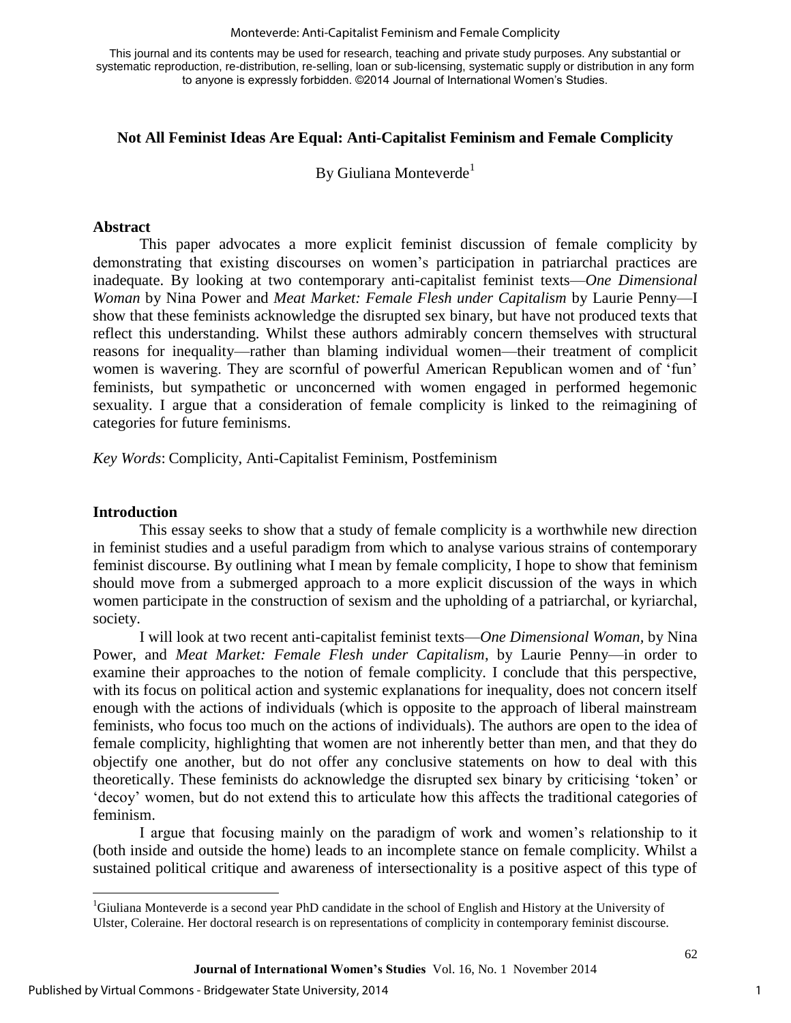#### Monteverde: Anti-Capitalist Feminism and Female Complicity

This journal and its contents may be used for research, teaching and private study purposes. Any substantial or systematic reproduction, re-distribution, re-selling, loan or sub-licensing, systematic supply or distribution in any form to anyone is expressly forbidden. ©2014 Journal of International Women's Studies.

### **Not All Feminist Ideas Are Equal: Anti-Capitalist Feminism and Female Complicity**

By Giuliana Monteverde<sup>1</sup>

#### **Abstract**

This paper advocates a more explicit feminist discussion of female complicity by demonstrating that existing discourses on women's participation in patriarchal practices are inadequate. By looking at two contemporary anti-capitalist feminist texts—*One Dimensional Woman* by Nina Power and *Meat Market: Female Flesh under Capitalism* by Laurie Penny—I show that these feminists acknowledge the disrupted sex binary, but have not produced texts that reflect this understanding. Whilst these authors admirably concern themselves with structural reasons for inequality—rather than blaming individual women—their treatment of complicit women is wavering. They are scornful of powerful American Republican women and of 'fun' feminists, but sympathetic or unconcerned with women engaged in performed hegemonic sexuality. I argue that a consideration of female complicity is linked to the reimagining of categories for future feminisms.

*Key Words*: Complicity, Anti-Capitalist Feminism, Postfeminism

#### **Introduction**

 $\overline{\phantom{a}}$ 

This essay seeks to show that a study of female complicity is a worthwhile new direction in feminist studies and a useful paradigm from which to analyse various strains of contemporary feminist discourse. By outlining what I mean by female complicity, I hope to show that feminism should move from a submerged approach to a more explicit discussion of the ways in which women participate in the construction of sexism and the upholding of a patriarchal, or kyriarchal, society.

I will look at two recent anti-capitalist feminist texts—*One Dimensional Woman,* by Nina Power, and *Meat Market: Female Flesh under Capitalism*, by Laurie Penny—in order to examine their approaches to the notion of female complicity. I conclude that this perspective, with its focus on political action and systemic explanations for inequality, does not concern itself enough with the actions of individuals (which is opposite to the approach of liberal mainstream feminists, who focus too much on the actions of individuals). The authors are open to the idea of female complicity, highlighting that women are not inherently better than men, and that they do objectify one another, but do not offer any conclusive statements on how to deal with this theoretically. These feminists do acknowledge the disrupted sex binary by criticising 'token' or 'decoy' women, but do not extend this to articulate how this affects the traditional categories of feminism.

I argue that focusing mainly on the paradigm of work and women's relationship to it (both inside and outside the home) leads to an incomplete stance on female complicity. Whilst a sustained political critique and awareness of intersectionality is a positive aspect of this type of

1

<sup>1</sup>Giuliana Monteverde is a second year PhD candidate in the school of English and History at the University of Ulster, Coleraine. Her doctoral research is on representations of complicity in contemporary feminist discourse.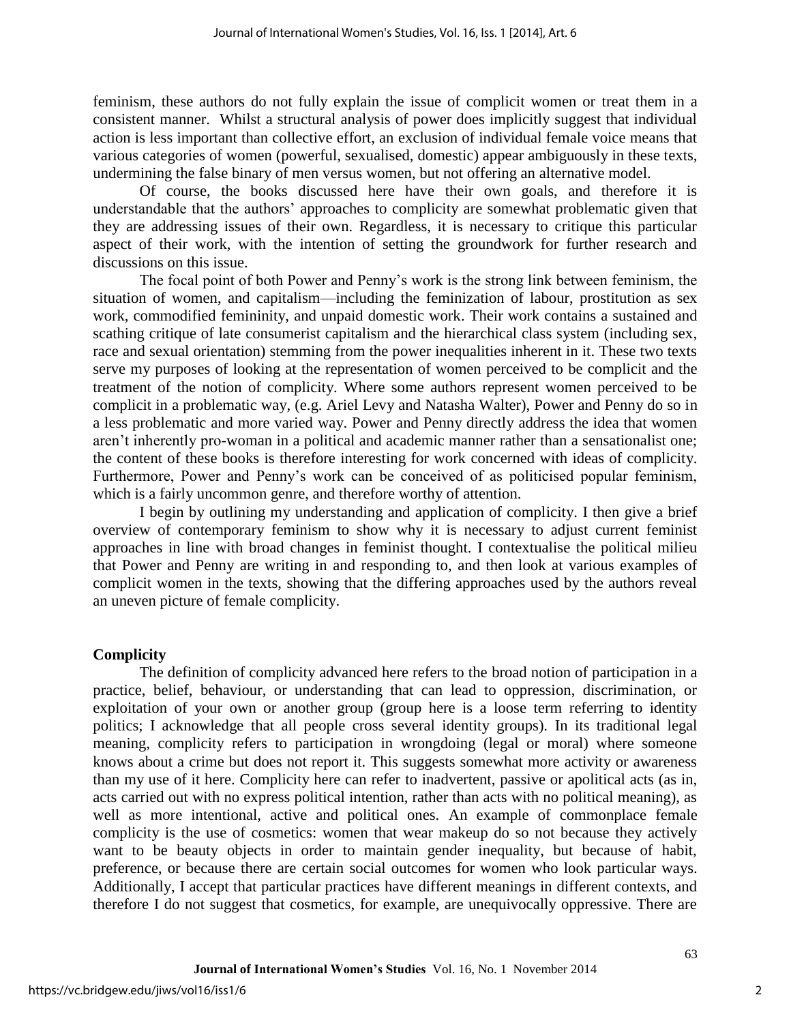feminism, these authors do not fully explain the issue of complicit women or treat them in a consistent manner. Whilst a structural analysis of power does implicitly suggest that individual action is less important than collective effort, an exclusion of individual female voice means that various categories of women (powerful, sexualised, domestic) appear ambiguously in these texts, undermining the false binary of men versus women, but not offering an alternative model.

Of course, the books discussed here have their own goals, and therefore it is understandable that the authors' approaches to complicity are somewhat problematic given that they are addressing issues of their own. Regardless, it is necessary to critique this particular aspect of their work, with the intention of setting the groundwork for further research and discussions on this issue.

The focal point of both Power and Penny's work is the strong link between feminism, the situation of women, and capitalism—including the feminization of labour, prostitution as sex work, commodified femininity, and unpaid domestic work. Their work contains a sustained and scathing critique of late consumerist capitalism and the hierarchical class system (including sex, race and sexual orientation) stemming from the power inequalities inherent in it. These two texts serve my purposes of looking at the representation of women perceived to be complicit and the treatment of the notion of complicity. Where some authors represent women perceived to be complicit in a problematic way, (e.g. Ariel Levy and Natasha Walter), Power and Penny do so in a less problematic and more varied way. Power and Penny directly address the idea that women aren't inherently pro-woman in a political and academic manner rather than a sensationalist one; the content of these books is therefore interesting for work concerned with ideas of complicity. Furthermore, Power and Penny's work can be conceived of as politicised popular feminism, which is a fairly uncommon genre, and therefore worthy of attention.

I begin by outlining my understanding and application of complicity. I then give a brief overview of contemporary feminism to show why it is necessary to adjust current feminist approaches in line with broad changes in feminist thought. I contextualise the political milieu that Power and Penny are writing in and responding to, and then look at various examples of complicit women in the texts, showing that the differing approaches used by the authors reveal an uneven picture of female complicity.

### **Complicity**

The definition of complicity advanced here refers to the broad notion of participation in a practice, belief, behaviour, or understanding that can lead to oppression, discrimination, or exploitation of your own or another group (group here is a loose term referring to identity politics; I acknowledge that all people cross several identity groups). In its traditional legal meaning, complicity refers to participation in wrongdoing (legal or moral) where someone knows about a crime but does not report it. This suggests somewhat more activity or awareness than my use of it here. Complicity here can refer to inadvertent, passive or apolitical acts (as in, acts carried out with no express political intention, rather than acts with no political meaning), as well as more intentional, active and political ones. An example of commonplace female complicity is the use of cosmetics: women that wear makeup do so not because they actively want to be beauty objects in order to maintain gender inequality, but because of habit, preference, or because there are certain social outcomes for women who look particular ways. Additionally, I accept that particular practices have different meanings in different contexts, and therefore I do not suggest that cosmetics, for example, are unequivocally oppressive. There are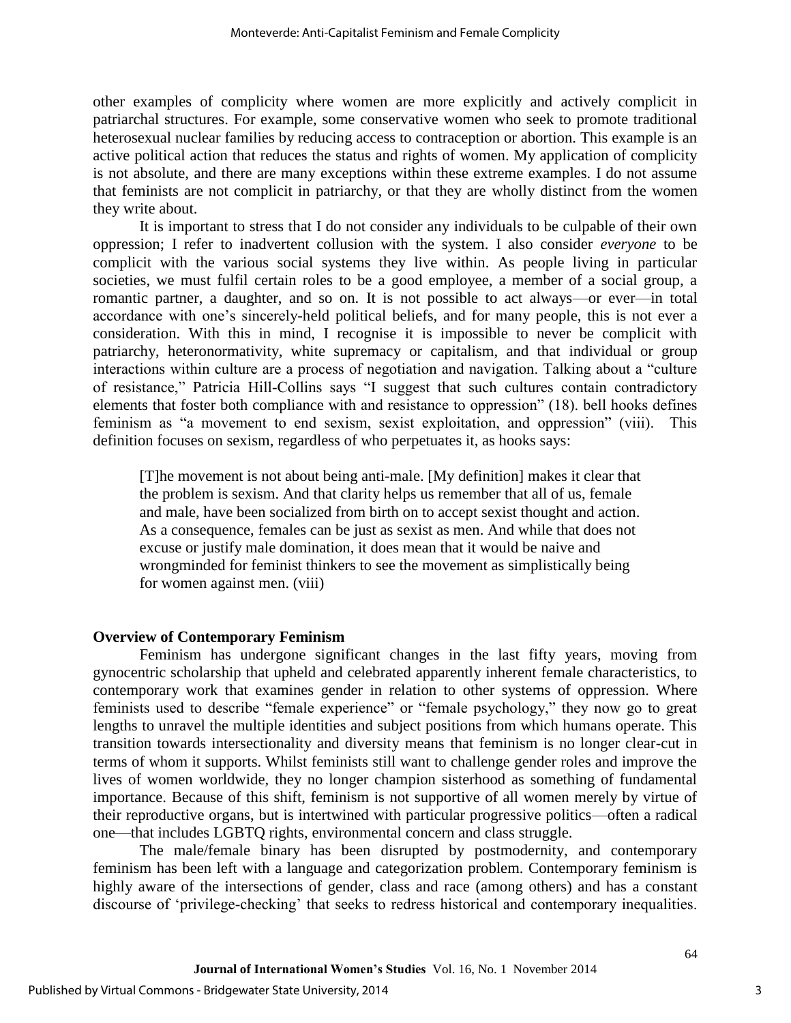other examples of complicity where women are more explicitly and actively complicit in patriarchal structures. For example, some conservative women who seek to promote traditional heterosexual nuclear families by reducing access to contraception or abortion. This example is an active political action that reduces the status and rights of women. My application of complicity is not absolute, and there are many exceptions within these extreme examples. I do not assume that feminists are not complicit in patriarchy, or that they are wholly distinct from the women they write about.

It is important to stress that I do not consider any individuals to be culpable of their own oppression; I refer to inadvertent collusion with the system. I also consider *everyone* to be complicit with the various social systems they live within. As people living in particular societies, we must fulfil certain roles to be a good employee, a member of a social group, a romantic partner, a daughter, and so on. It is not possible to act always—or ever—in total accordance with one's sincerely-held political beliefs, and for many people, this is not ever a consideration. With this in mind, I recognise it is impossible to never be complicit with patriarchy, heteronormativity, white supremacy or capitalism, and that individual or group interactions within culture are a process of negotiation and navigation. Talking about a "culture of resistance," Patricia Hill-Collins says "I suggest that such cultures contain contradictory elements that foster both compliance with and resistance to oppression" (18). bell hooks defines feminism as "a movement to end sexism, sexist exploitation, and oppression" (viii). This definition focuses on sexism, regardless of who perpetuates it, as hooks says:

[T]he movement is not about being anti-male. [My definition] makes it clear that the problem is sexism. And that clarity helps us remember that all of us, female and male, have been socialized from birth on to accept sexist thought and action. As a consequence, females can be just as sexist as men. And while that does not excuse or justify male domination, it does mean that it would be naive and wrongminded for feminist thinkers to see the movement as simplistically being for women against men. (viii)

#### **Overview of Contemporary Feminism**

Feminism has undergone significant changes in the last fifty years, moving from gynocentric scholarship that upheld and celebrated apparently inherent female characteristics, to contemporary work that examines gender in relation to other systems of oppression. Where feminists used to describe "female experience" or "female psychology," they now go to great lengths to unravel the multiple identities and subject positions from which humans operate. This transition towards intersectionality and diversity means that feminism is no longer clear-cut in terms of whom it supports. Whilst feminists still want to challenge gender roles and improve the lives of women worldwide, they no longer champion sisterhood as something of fundamental importance. Because of this shift, feminism is not supportive of all women merely by virtue of their reproductive organs, but is intertwined with particular progressive politics—often a radical one—that includes LGBTQ rights, environmental concern and class struggle.

The male/female binary has been disrupted by postmodernity, and contemporary feminism has been left with a language and categorization problem. Contemporary feminism is highly aware of the intersections of gender, class and race (among others) and has a constant discourse of 'privilege-checking' that seeks to redress historical and contemporary inequalities.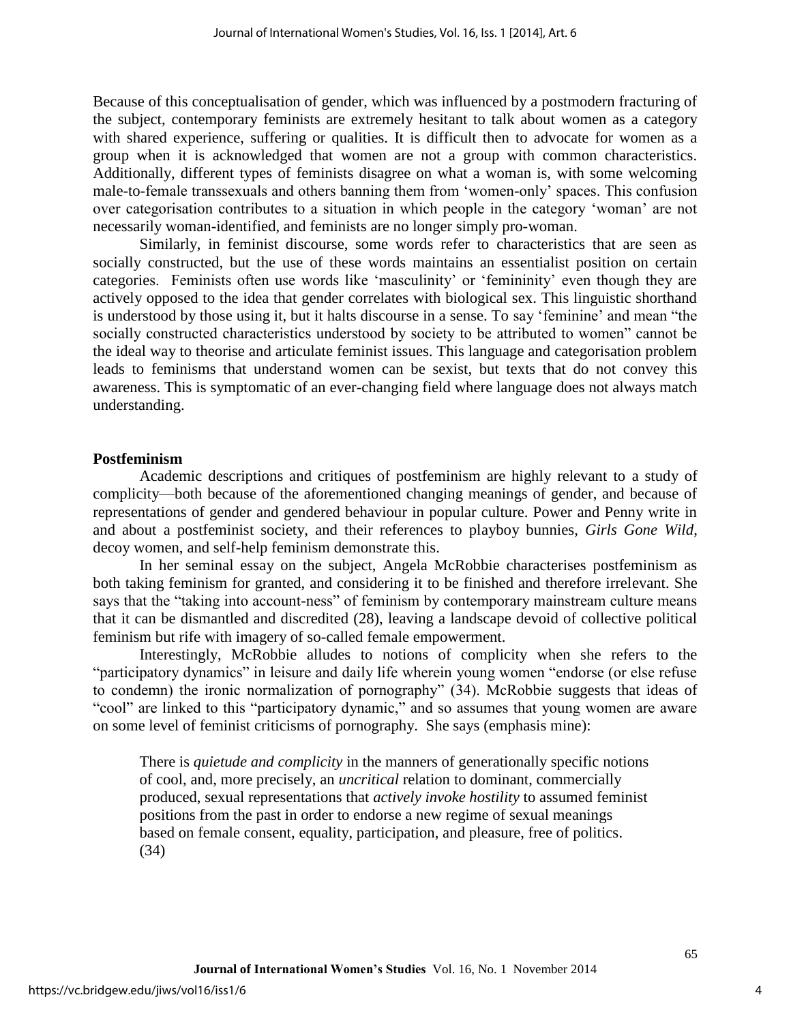Because of this conceptualisation of gender, which was influenced by a postmodern fracturing of the subject, contemporary feminists are extremely hesitant to talk about women as a category with shared experience, suffering or qualities. It is difficult then to advocate for women as a group when it is acknowledged that women are not a group with common characteristics. Additionally, different types of feminists disagree on what a woman is, with some welcoming male-to-female transsexuals and others banning them from 'women-only' spaces. This confusion over categorisation contributes to a situation in which people in the category 'woman' are not necessarily woman-identified, and feminists are no longer simply pro-woman.

Similarly, in feminist discourse, some words refer to characteristics that are seen as socially constructed, but the use of these words maintains an essentialist position on certain categories. Feminists often use words like 'masculinity' or 'femininity' even though they are actively opposed to the idea that gender correlates with biological sex. This linguistic shorthand is understood by those using it, but it halts discourse in a sense. To say 'feminine' and mean "the socially constructed characteristics understood by society to be attributed to women" cannot be the ideal way to theorise and articulate feminist issues. This language and categorisation problem leads to feminisms that understand women can be sexist, but texts that do not convey this awareness. This is symptomatic of an ever-changing field where language does not always match understanding.

#### **Postfeminism**

Academic descriptions and critiques of postfeminism are highly relevant to a study of complicity—both because of the aforementioned changing meanings of gender, and because of representations of gender and gendered behaviour in popular culture. Power and Penny write in and about a postfeminist society, and their references to playboy bunnies, *Girls Gone Wild*, decoy women, and self-help feminism demonstrate this.

In her seminal essay on the subject, Angela McRobbie characterises postfeminism as both taking feminism for granted, and considering it to be finished and therefore irrelevant. She says that the "taking into account-ness" of feminism by contemporary mainstream culture means that it can be dismantled and discredited (28), leaving a landscape devoid of collective political feminism but rife with imagery of so-called female empowerment.

Interestingly, McRobbie alludes to notions of complicity when she refers to the "participatory dynamics" in leisure and daily life wherein young women "endorse (or else refuse to condemn) the ironic normalization of pornography" (34). McRobbie suggests that ideas of "cool" are linked to this "participatory dynamic," and so assumes that young women are aware on some level of feminist criticisms of pornography. She says (emphasis mine):

There is *quietude and complicity* in the manners of generationally specific notions of cool, and, more precisely, an *uncritical* relation to dominant, commercially produced, sexual representations that *actively invoke hostility* to assumed feminist positions from the past in order to endorse a new regime of sexual meanings based on female consent, equality, participation, and pleasure, free of politics. (34)

4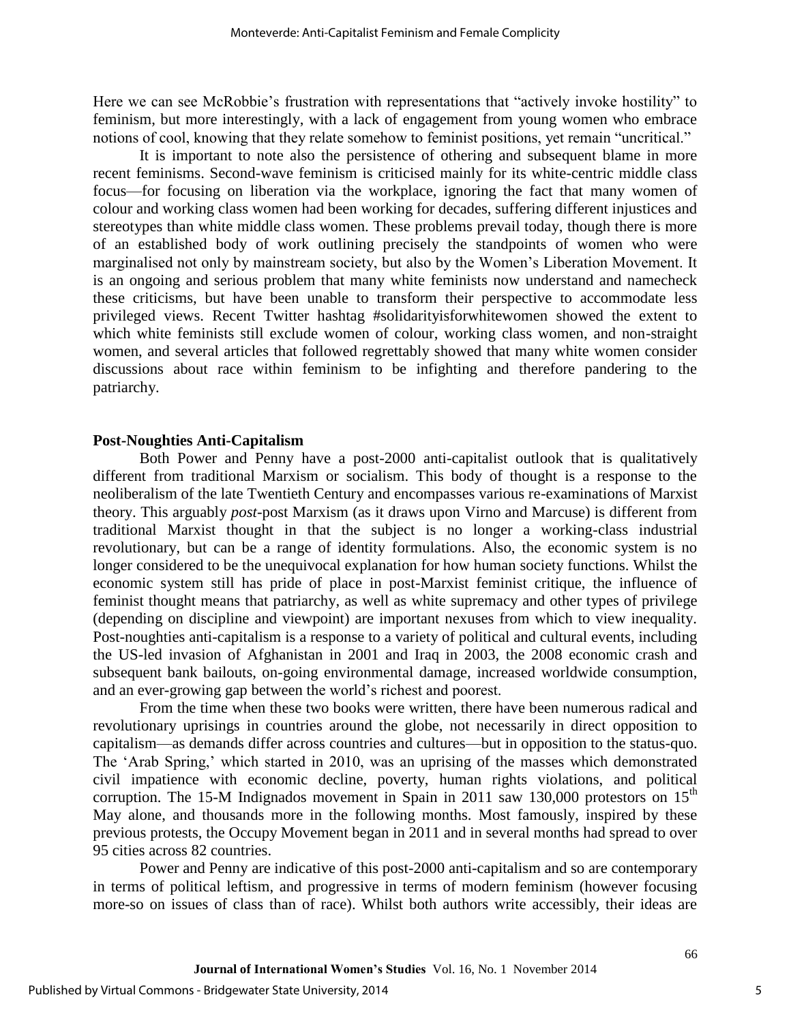Here we can see McRobbie's frustration with representations that "actively invoke hostility" to feminism, but more interestingly, with a lack of engagement from young women who embrace notions of cool, knowing that they relate somehow to feminist positions, yet remain "uncritical."

It is important to note also the persistence of othering and subsequent blame in more recent feminisms. Second-wave feminism is criticised mainly for its white-centric middle class focus—for focusing on liberation via the workplace, ignoring the fact that many women of colour and working class women had been working for decades, suffering different injustices and stereotypes than white middle class women. These problems prevail today, though there is more of an established body of work outlining precisely the standpoints of women who were marginalised not only by mainstream society, but also by the Women's Liberation Movement. It is an ongoing and serious problem that many white feminists now understand and namecheck these criticisms, but have been unable to transform their perspective to accommodate less privileged views. Recent Twitter hashtag #solidarityisforwhitewomen showed the extent to which white feminists still exclude women of colour, working class women, and non-straight women, and several articles that followed regrettably showed that many white women consider discussions about race within feminism to be infighting and therefore pandering to the patriarchy.

#### **Post-Noughties Anti-Capitalism**

Both Power and Penny have a post-2000 anti-capitalist outlook that is qualitatively different from traditional Marxism or socialism. This body of thought is a response to the neoliberalism of the late Twentieth Century and encompasses various re-examinations of Marxist theory. This arguably *post*-post Marxism (as it draws upon Virno and Marcuse) is different from traditional Marxist thought in that the subject is no longer a working-class industrial revolutionary, but can be a range of identity formulations. Also, the economic system is no longer considered to be the unequivocal explanation for how human society functions. Whilst the economic system still has pride of place in post-Marxist feminist critique, the influence of feminist thought means that patriarchy, as well as white supremacy and other types of privilege (depending on discipline and viewpoint) are important nexuses from which to view inequality. Post-noughties anti-capitalism is a response to a variety of political and cultural events, including the US-led invasion of Afghanistan in 2001 and Iraq in 2003, the 2008 economic crash and subsequent bank bailouts, on-going environmental damage, increased worldwide consumption, and an ever-growing gap between the world's richest and poorest.

From the time when these two books were written, there have been numerous radical and revolutionary uprisings in countries around the globe, not necessarily in direct opposition to capitalism—as demands differ across countries and cultures—but in opposition to the status-quo. The 'Arab Spring,' which started in 2010, was an uprising of the masses which demonstrated civil impatience with economic decline, poverty, human rights violations, and political corruption. The 15-M Indignados movement in Spain in 2011 saw 130,000 protestors on  $15<sup>th</sup>$ May alone, and thousands more in the following months. Most famously, inspired by these previous protests, the Occupy Movement began in 2011 and in several months had spread to over 95 cities across 82 countries.

Power and Penny are indicative of this post-2000 anti-capitalism and so are contemporary in terms of political leftism, and progressive in terms of modern feminism (however focusing more-so on issues of class than of race). Whilst both authors write accessibly, their ideas are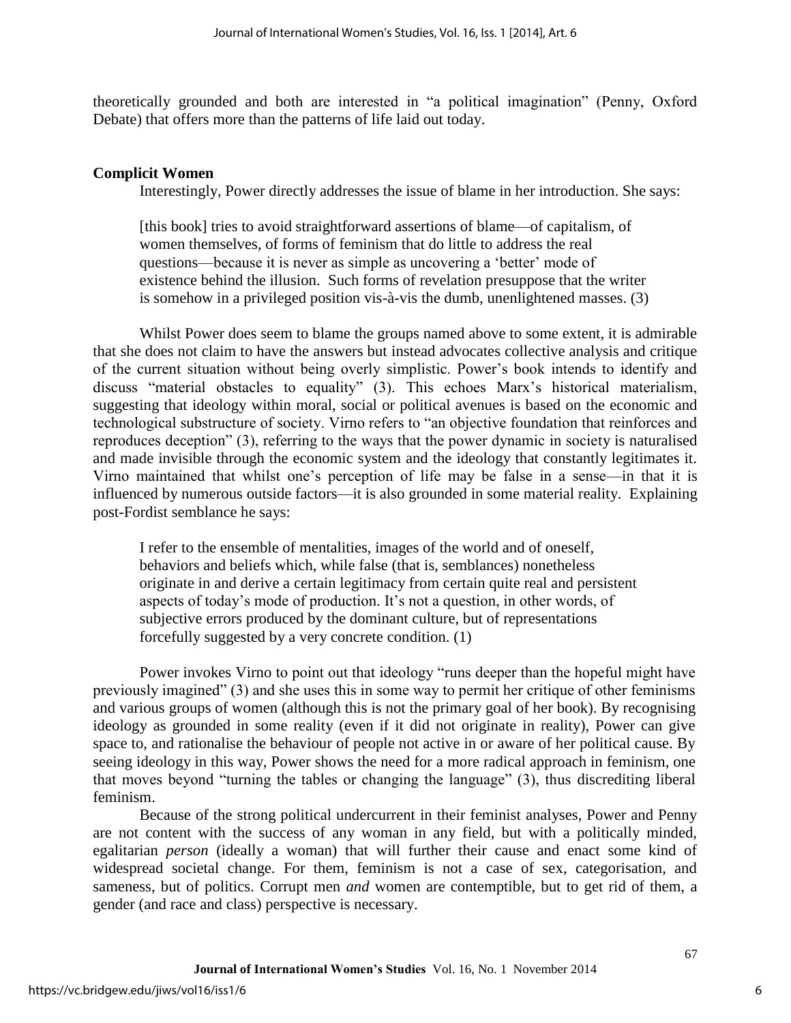theoretically grounded and both are interested in "a political imagination" (Penny, Oxford Debate) that offers more than the patterns of life laid out today.

### **Complicit Women**

Interestingly, Power directly addresses the issue of blame in her introduction. She says:

[this book] tries to avoid straightforward assertions of blame—of capitalism, of women themselves, of forms of feminism that do little to address the real questions—because it is never as simple as uncovering a 'better' mode of existence behind the illusion. Such forms of revelation presuppose that the writer is somehow in a privileged position vis-à-vis the dumb, unenlightened masses. (3)

Whilst Power does seem to blame the groups named above to some extent, it is admirable that she does not claim to have the answers but instead advocates collective analysis and critique of the current situation without being overly simplistic. Power's book intends to identify and discuss "material obstacles to equality" (3). This echoes Marx's historical materialism, suggesting that ideology within moral, social or political avenues is based on the economic and technological substructure of society. Virno refers to "an objective foundation that reinforces and reproduces deception" (3), referring to the ways that the power dynamic in society is naturalised and made invisible through the economic system and the ideology that constantly legitimates it. Virno maintained that whilst one's perception of life may be false in a sense—in that it is influenced by numerous outside factors—it is also grounded in some material reality. Explaining post-Fordist semblance he says:

I refer to the ensemble of mentalities, images of the world and of oneself, behaviors and beliefs which, while false (that is, semblances) nonetheless originate in and derive a certain legitimacy from certain quite real and persistent aspects of today's mode of production. It's not a question, in other words, of subjective errors produced by the dominant culture, but of representations forcefully suggested by a very concrete condition. (1)

Power invokes Virno to point out that ideology "runs deeper than the hopeful might have previously imagined" (3) and she uses this in some way to permit her critique of other feminisms and various groups of women (although this is not the primary goal of her book). By recognising ideology as grounded in some reality (even if it did not originate in reality), Power can give space to, and rationalise the behaviour of people not active in or aware of her political cause. By seeing ideology in this way, Power shows the need for a more radical approach in feminism, one that moves beyond "turning the tables or changing the language" (3), thus discrediting liberal feminism.

Because of the strong political undercurrent in their feminist analyses, Power and Penny are not content with the success of any woman in any field, but with a politically minded, egalitarian *person* (ideally a woman) that will further their cause and enact some kind of widespread societal change. For them, feminism is not a case of sex, categorisation, and sameness, but of politics. Corrupt men *and* women are contemptible, but to get rid of them, a gender (and race and class) perspective is necessary.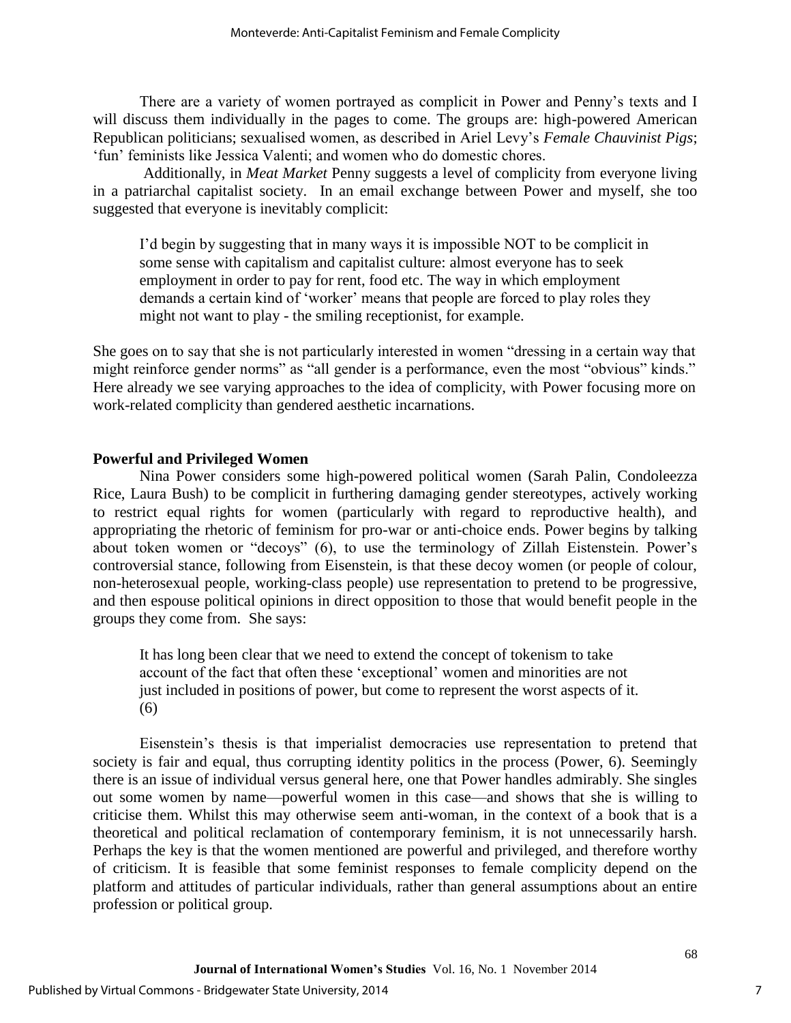There are a variety of women portrayed as complicit in Power and Penny's texts and I will discuss them individually in the pages to come. The groups are: high-powered American Republican politicians; sexualised women, as described in Ariel Levy's *Female Chauvinist Pigs*; 'fun' feminists like Jessica Valenti; and women who do domestic chores.

Additionally, in *Meat Market* Penny suggests a level of complicity from everyone living in a patriarchal capitalist society. In an email exchange between Power and myself, she too suggested that everyone is inevitably complicit:

I'd begin by suggesting that in many ways it is impossible NOT to be complicit in some sense with capitalism and capitalist culture: almost everyone has to seek employment in order to pay for rent, food etc. The way in which employment demands a certain kind of 'worker' means that people are forced to play roles they might not want to play - the smiling receptionist, for example.

She goes on to say that she is not particularly interested in women "dressing in a certain way that might reinforce gender norms" as "all gender is a performance, even the most "obvious" kinds." Here already we see varying approaches to the idea of complicity, with Power focusing more on work-related complicity than gendered aesthetic incarnations.

### **Powerful and Privileged Women**

Nina Power considers some high-powered political women (Sarah Palin, Condoleezza Rice, Laura Bush) to be complicit in furthering damaging gender stereotypes, actively working to restrict equal rights for women (particularly with regard to reproductive health), and appropriating the rhetoric of feminism for pro-war or anti-choice ends. Power begins by talking about token women or "decoys" (6), to use the terminology of Zillah Eistenstein. Power's controversial stance, following from Eisenstein, is that these decoy women (or people of colour, non-heterosexual people, working-class people) use representation to pretend to be progressive, and then espouse political opinions in direct opposition to those that would benefit people in the groups they come from. She says:

It has long been clear that we need to extend the concept of tokenism to take account of the fact that often these 'exceptional' women and minorities are not just included in positions of power, but come to represent the worst aspects of it. (6)

Eisenstein's thesis is that imperialist democracies use representation to pretend that society is fair and equal, thus corrupting identity politics in the process (Power, 6). Seemingly there is an issue of individual versus general here, one that Power handles admirably. She singles out some women by name—powerful women in this case—and shows that she is willing to criticise them. Whilst this may otherwise seem anti-woman, in the context of a book that is a theoretical and political reclamation of contemporary feminism, it is not unnecessarily harsh. Perhaps the key is that the women mentioned are powerful and privileged, and therefore worthy of criticism. It is feasible that some feminist responses to female complicity depend on the platform and attitudes of particular individuals, rather than general assumptions about an entire profession or political group.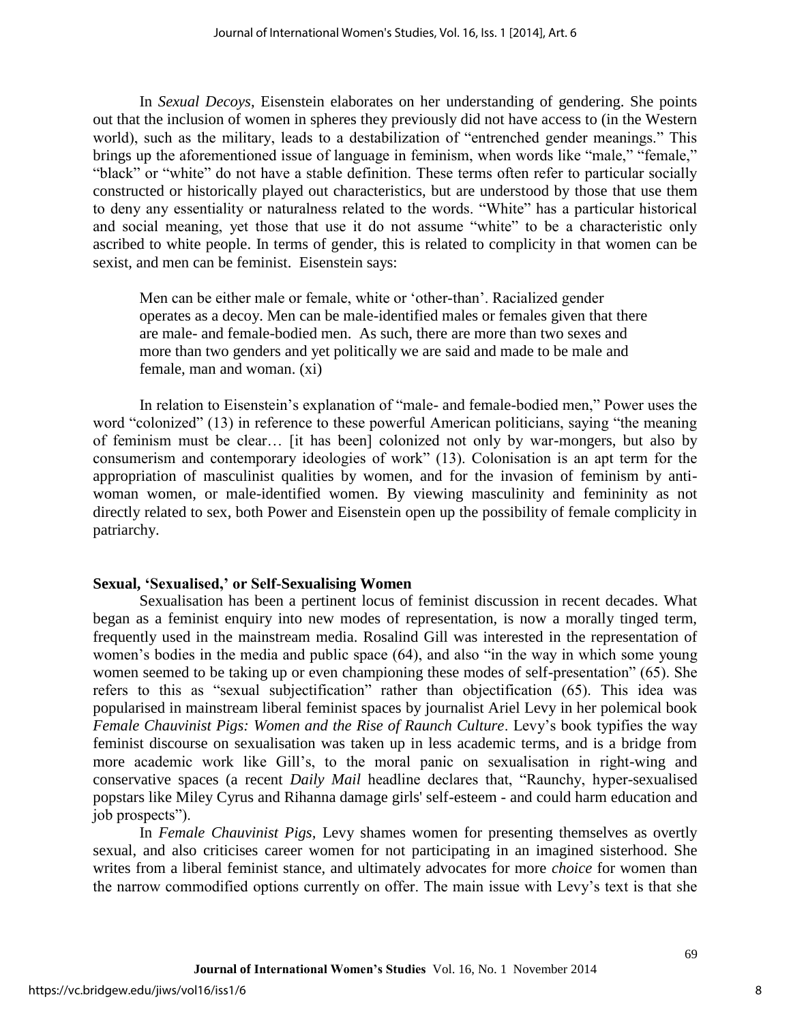In *Sexual Decoys*, Eisenstein elaborates on her understanding of gendering. She points out that the inclusion of women in spheres they previously did not have access to (in the Western world), such as the military, leads to a destabilization of "entrenched gender meanings." This brings up the aforementioned issue of language in feminism, when words like "male," "female," "black" or "white" do not have a stable definition. These terms often refer to particular socially constructed or historically played out characteristics, but are understood by those that use them to deny any essentiality or naturalness related to the words. "White" has a particular historical and social meaning, yet those that use it do not assume "white" to be a characteristic only ascribed to white people. In terms of gender, this is related to complicity in that women can be sexist, and men can be feminist. Eisenstein says:

Men can be either male or female, white or 'other-than'. Racialized gender operates as a decoy. Men can be male-identified males or females given that there are male- and female-bodied men. As such, there are more than two sexes and more than two genders and yet politically we are said and made to be male and female, man and woman. (xi)

In relation to Eisenstein's explanation of "male- and female-bodied men," Power uses the word "colonized" (13) in reference to these powerful American politicians, saying "the meaning of feminism must be clear… [it has been] colonized not only by war-mongers, but also by consumerism and contemporary ideologies of work" (13). Colonisation is an apt term for the appropriation of masculinist qualities by women, and for the invasion of feminism by antiwoman women, or male-identified women. By viewing masculinity and femininity as not directly related to sex, both Power and Eisenstein open up the possibility of female complicity in patriarchy.

#### **Sexual, 'Sexualised,' or Self-Sexualising Women**

Sexualisation has been a pertinent locus of feminist discussion in recent decades. What began as a feminist enquiry into new modes of representation, is now a morally tinged term, frequently used in the mainstream media. Rosalind Gill was interested in the representation of women's bodies in the media and public space (64), and also "in the way in which some young women seemed to be taking up or even championing these modes of self-presentation" (65). She refers to this as "sexual subjectification" rather than objectification (65). This idea was popularised in mainstream liberal feminist spaces by journalist Ariel Levy in her polemical book *Female Chauvinist Pigs: Women and the Rise of Raunch Culture*. Levy's book typifies the way feminist discourse on sexualisation was taken up in less academic terms, and is a bridge from more academic work like Gill's, to the moral panic on sexualisation in right-wing and conservative spaces (a recent *Daily Mail* headline declares that, "Raunchy, hyper-sexualised popstars like Miley Cyrus and Rihanna damage girls' self-esteem - and could harm education and job prospects").

In *Female Chauvinist Pigs,* Levy shames women for presenting themselves as overtly sexual, and also criticises career women for not participating in an imagined sisterhood. She writes from a liberal feminist stance, and ultimately advocates for more *choice* for women than the narrow commodified options currently on offer. The main issue with Levy's text is that she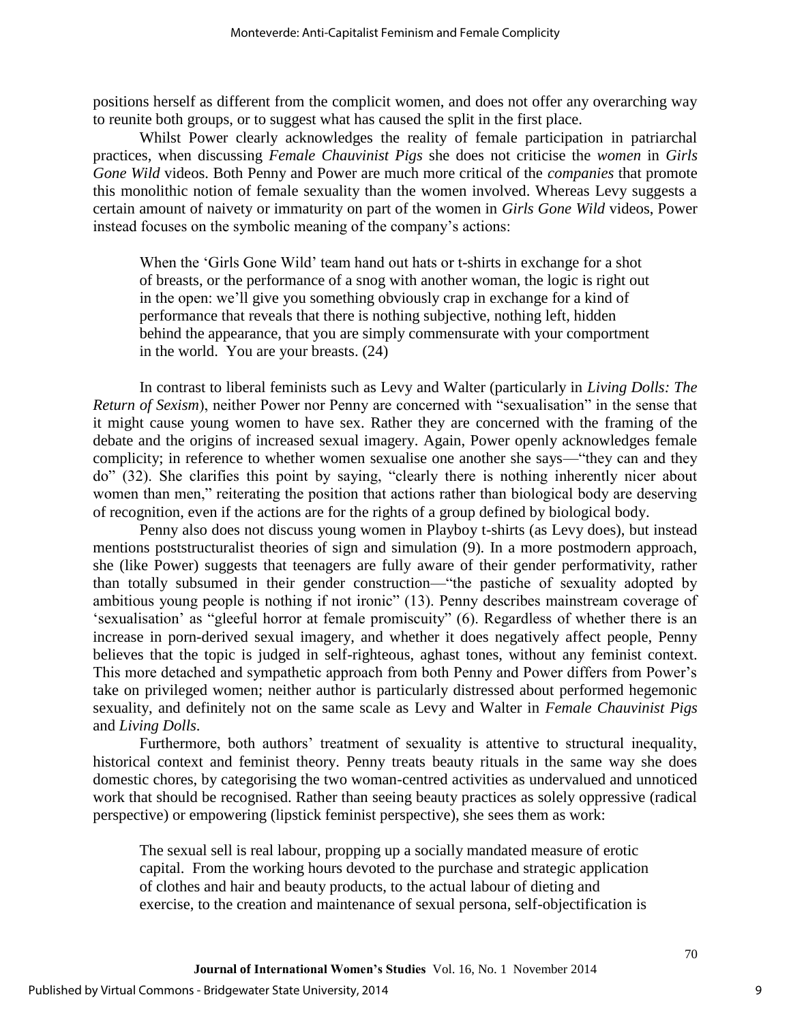positions herself as different from the complicit women, and does not offer any overarching way to reunite both groups, or to suggest what has caused the split in the first place.

Whilst Power clearly acknowledges the reality of female participation in patriarchal practices, when discussing *Female Chauvinist Pigs* she does not criticise the *women* in *Girls Gone Wild* videos. Both Penny and Power are much more critical of the *companies* that promote this monolithic notion of female sexuality than the women involved. Whereas Levy suggests a certain amount of naivety or immaturity on part of the women in *Girls Gone Wild* videos, Power instead focuses on the symbolic meaning of the company's actions:

When the 'Girls Gone Wild' team hand out hats or t-shirts in exchange for a shot of breasts, or the performance of a snog with another woman, the logic is right out in the open: we'll give you something obviously crap in exchange for a kind of performance that reveals that there is nothing subjective, nothing left, hidden behind the appearance, that you are simply commensurate with your comportment in the world. You are your breasts. (24)

In contrast to liberal feminists such as Levy and Walter (particularly in *Living Dolls: The Return of Sexism*), neither Power nor Penny are concerned with "sexualisation" in the sense that it might cause young women to have sex. Rather they are concerned with the framing of the debate and the origins of increased sexual imagery. Again, Power openly acknowledges female complicity; in reference to whether women sexualise one another she says—"they can and they do" (32). She clarifies this point by saying, "clearly there is nothing inherently nicer about women than men," reiterating the position that actions rather than biological body are deserving of recognition, even if the actions are for the rights of a group defined by biological body.

Penny also does not discuss young women in Playboy t-shirts (as Levy does), but instead mentions poststructuralist theories of sign and simulation (9). In a more postmodern approach, she (like Power) suggests that teenagers are fully aware of their gender performativity, rather than totally subsumed in their gender construction—"the pastiche of sexuality adopted by ambitious young people is nothing if not ironic" (13). Penny describes mainstream coverage of 'sexualisation' as "gleeful horror at female promiscuity" (6). Regardless of whether there is an increase in porn-derived sexual imagery, and whether it does negatively affect people, Penny believes that the topic is judged in self-righteous, aghast tones, without any feminist context. This more detached and sympathetic approach from both Penny and Power differs from Power's take on privileged women; neither author is particularly distressed about performed hegemonic sexuality, and definitely not on the same scale as Levy and Walter in *Female Chauvinist Pigs* and *Living Dolls*.

Furthermore, both authors' treatment of sexuality is attentive to structural inequality, historical context and feminist theory. Penny treats beauty rituals in the same way she does domestic chores, by categorising the two woman-centred activities as undervalued and unnoticed work that should be recognised. Rather than seeing beauty practices as solely oppressive (radical perspective) or empowering (lipstick feminist perspective), she sees them as work:

The sexual sell is real labour, propping up a socially mandated measure of erotic capital. From the working hours devoted to the purchase and strategic application of clothes and hair and beauty products, to the actual labour of dieting and exercise, to the creation and maintenance of sexual persona, self-objectification is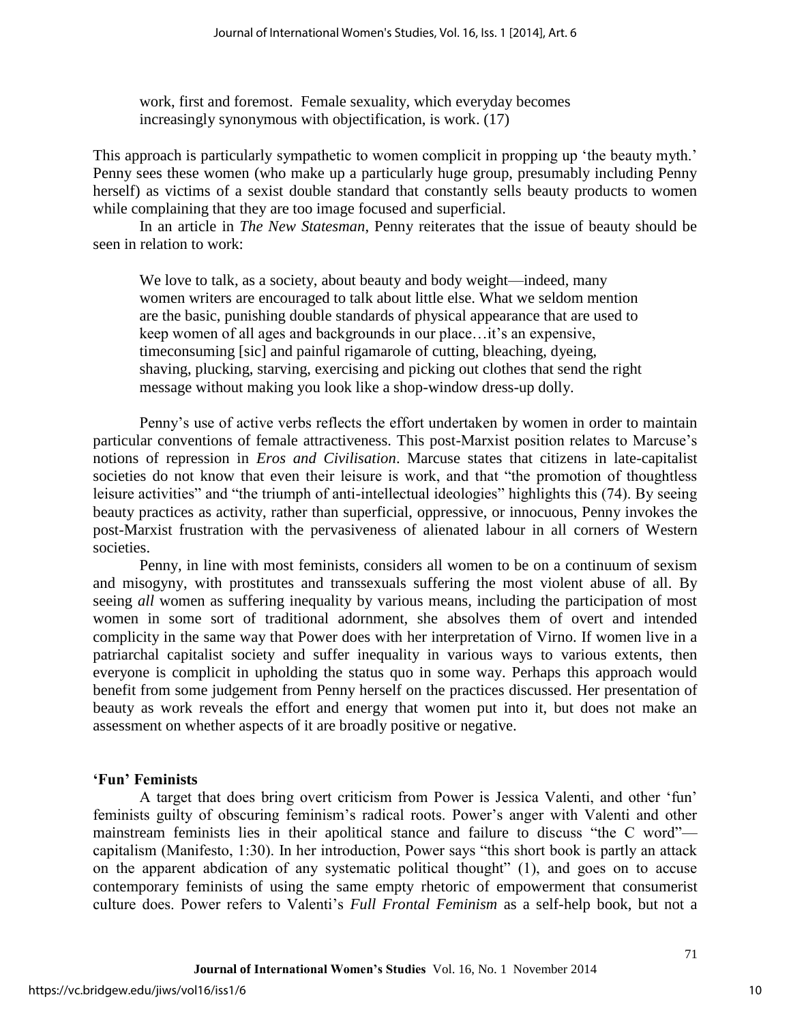work, first and foremost. Female sexuality, which everyday becomes increasingly synonymous with objectification, is work. (17)

This approach is particularly sympathetic to women complicit in propping up 'the beauty myth.' Penny sees these women (who make up a particularly huge group, presumably including Penny herself) as victims of a sexist double standard that constantly sells beauty products to women while complaining that they are too image focused and superficial.

 In an article in *The New Statesman*, Penny reiterates that the issue of beauty should be seen in relation to work:

We love to talk, as a society, about beauty and body weight—indeed, many women writers are encouraged to talk about little else. What we seldom mention are the basic, punishing double standards of physical appearance that are used to keep women of all ages and backgrounds in our place…it's an expensive, timeconsuming [sic] and painful rigamarole of cutting, bleaching, dyeing, shaving, plucking, starving, exercising and picking out clothes that send the right message without making you look like a shop-window dress-up dolly.

Penny's use of active verbs reflects the effort undertaken by women in order to maintain particular conventions of female attractiveness. This post-Marxist position relates to Marcuse's notions of repression in *Eros and Civilisation*. Marcuse states that citizens in late-capitalist societies do not know that even their leisure is work, and that "the promotion of thoughtless leisure activities" and "the triumph of anti-intellectual ideologies" highlights this (74). By seeing beauty practices as activity, rather than superficial, oppressive, or innocuous, Penny invokes the post-Marxist frustration with the pervasiveness of alienated labour in all corners of Western societies.

Penny, in line with most feminists, considers all women to be on a continuum of sexism and misogyny, with prostitutes and transsexuals suffering the most violent abuse of all. By seeing *all* women as suffering inequality by various means, including the participation of most women in some sort of traditional adornment, she absolves them of overt and intended complicity in the same way that Power does with her interpretation of Virno. If women live in a patriarchal capitalist society and suffer inequality in various ways to various extents, then everyone is complicit in upholding the status quo in some way. Perhaps this approach would benefit from some judgement from Penny herself on the practices discussed. Her presentation of beauty as work reveals the effort and energy that women put into it, but does not make an assessment on whether aspects of it are broadly positive or negative.

### **'Fun' Feminists**

A target that does bring overt criticism from Power is Jessica Valenti, and other 'fun' feminists guilty of obscuring feminism's radical roots. Power's anger with Valenti and other mainstream feminists lies in their apolitical stance and failure to discuss "the C word" capitalism (Manifesto, 1:30). In her introduction, Power says "this short book is partly an attack on the apparent abdication of any systematic political thought" (1), and goes on to accuse contemporary feminists of using the same empty rhetoric of empowerment that consumerist culture does. Power refers to Valenti's *Full Frontal Feminism* as a self-help book, but not a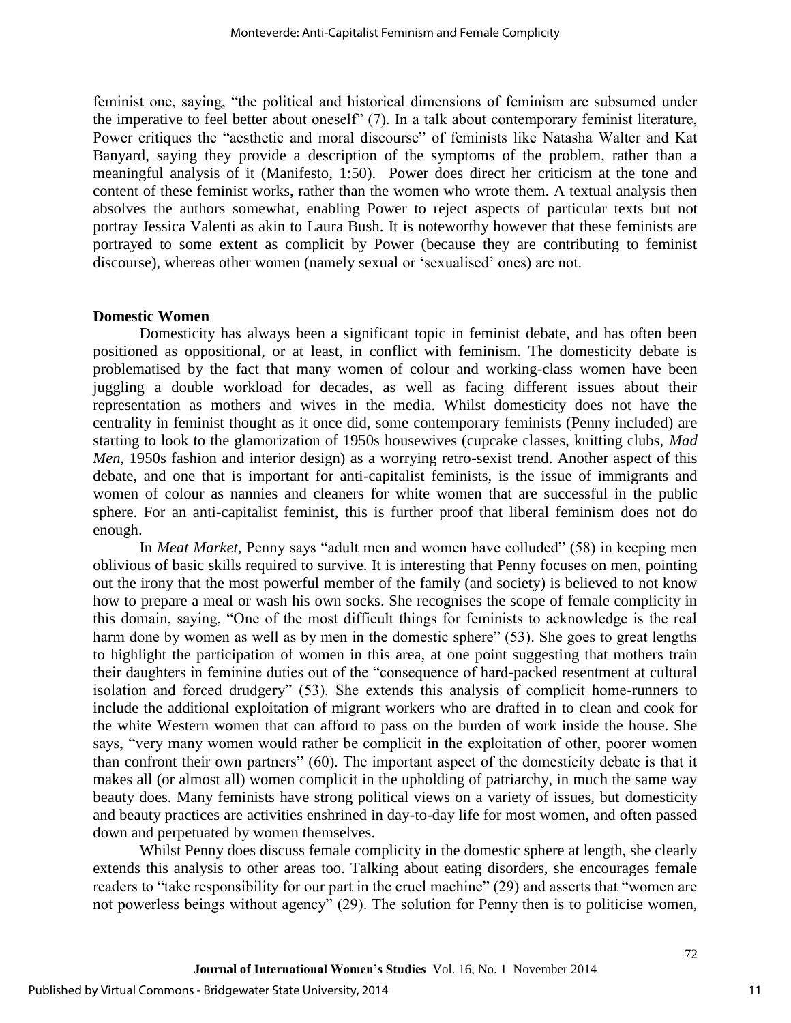feminist one, saying, "the political and historical dimensions of feminism are subsumed under the imperative to feel better about oneself" (7). In a talk about contemporary feminist literature, Power critiques the "aesthetic and moral discourse" of feminists like Natasha Walter and Kat Banyard, saying they provide a description of the symptoms of the problem, rather than a meaningful analysis of it (Manifesto, 1:50). Power does direct her criticism at the tone and content of these feminist works, rather than the women who wrote them. A textual analysis then absolves the authors somewhat, enabling Power to reject aspects of particular texts but not portray Jessica Valenti as akin to Laura Bush. It is noteworthy however that these feminists are portrayed to some extent as complicit by Power (because they are contributing to feminist discourse), whereas other women (namely sexual or 'sexualised' ones) are not.

#### **Domestic Women**

Domesticity has always been a significant topic in feminist debate, and has often been positioned as oppositional, or at least, in conflict with feminism. The domesticity debate is problematised by the fact that many women of colour and working-class women have been juggling a double workload for decades, as well as facing different issues about their representation as mothers and wives in the media. Whilst domesticity does not have the centrality in feminist thought as it once did, some contemporary feminists (Penny included) are starting to look to the glamorization of 1950s housewives (cupcake classes, knitting clubs, *Mad Men*, 1950s fashion and interior design) as a worrying retro-sexist trend. Another aspect of this debate, and one that is important for anti-capitalist feminists, is the issue of immigrants and women of colour as nannies and cleaners for white women that are successful in the public sphere. For an anti-capitalist feminist, this is further proof that liberal feminism does not do enough.

In *Meat Market,* Penny says "adult men and women have colluded" (58) in keeping men oblivious of basic skills required to survive. It is interesting that Penny focuses on men, pointing out the irony that the most powerful member of the family (and society) is believed to not know how to prepare a meal or wash his own socks. She recognises the scope of female complicity in this domain, saying, "One of the most difficult things for feminists to acknowledge is the real harm done by women as well as by men in the domestic sphere" (53). She goes to great lengths to highlight the participation of women in this area, at one point suggesting that mothers train their daughters in feminine duties out of the "consequence of hard-packed resentment at cultural isolation and forced drudgery" (53). She extends this analysis of complicit home-runners to include the additional exploitation of migrant workers who are drafted in to clean and cook for the white Western women that can afford to pass on the burden of work inside the house. She says, "very many women would rather be complicit in the exploitation of other, poorer women than confront their own partners" (60). The important aspect of the domesticity debate is that it makes all (or almost all) women complicit in the upholding of patriarchy, in much the same way beauty does. Many feminists have strong political views on a variety of issues, but domesticity and beauty practices are activities enshrined in day-to-day life for most women, and often passed down and perpetuated by women themselves.

Whilst Penny does discuss female complicity in the domestic sphere at length, she clearly extends this analysis to other areas too. Talking about eating disorders, she encourages female readers to "take responsibility for our part in the cruel machine" (29) and asserts that "women are not powerless beings without agency" (29). The solution for Penny then is to politicise women,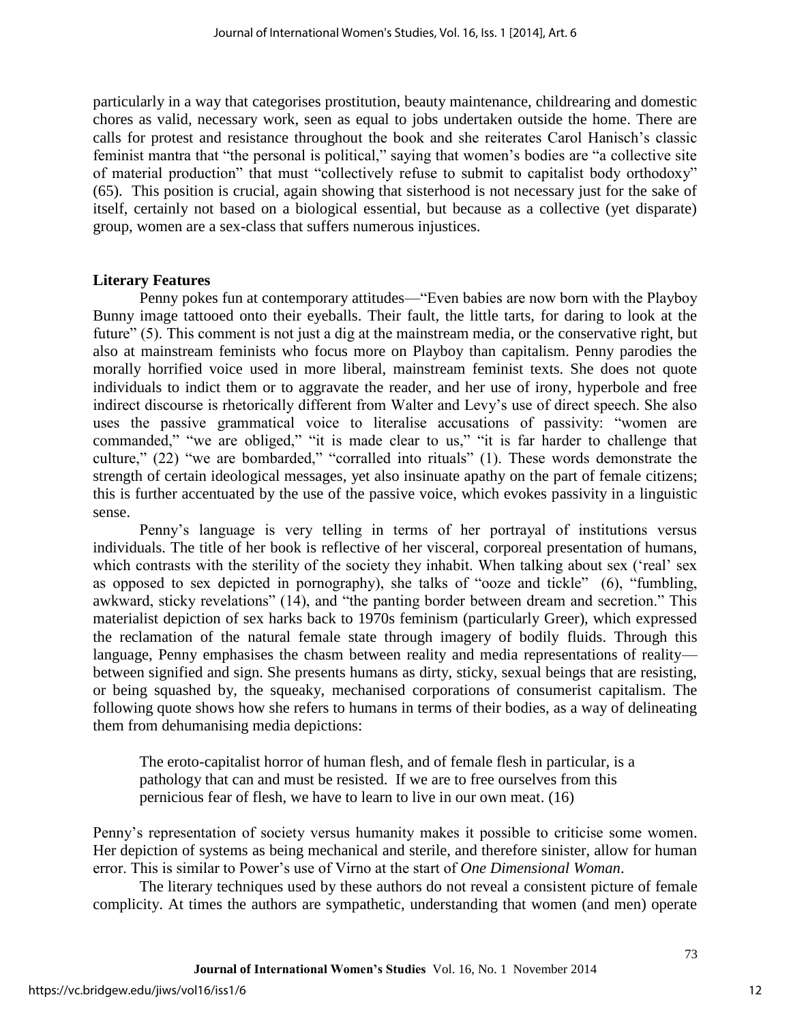particularly in a way that categorises prostitution, beauty maintenance, childrearing and domestic chores as valid, necessary work, seen as equal to jobs undertaken outside the home. There are calls for protest and resistance throughout the book and she reiterates Carol Hanisch's classic feminist mantra that "the personal is political," saying that women's bodies are "a collective site of material production" that must "collectively refuse to submit to capitalist body orthodoxy" (65). This position is crucial, again showing that sisterhood is not necessary just for the sake of itself, certainly not based on a biological essential, but because as a collective (yet disparate) group, women are a sex-class that suffers numerous injustices.

#### **Literary Features**

Penny pokes fun at contemporary attitudes—"Even babies are now born with the Playboy Bunny image tattooed onto their eyeballs. Their fault, the little tarts, for daring to look at the future" (5). This comment is not just a dig at the mainstream media, or the conservative right, but also at mainstream feminists who focus more on Playboy than capitalism. Penny parodies the morally horrified voice used in more liberal, mainstream feminist texts. She does not quote individuals to indict them or to aggravate the reader, and her use of irony, hyperbole and free indirect discourse is rhetorically different from Walter and Levy's use of direct speech. She also uses the passive grammatical voice to literalise accusations of passivity: "women are commanded," "we are obliged," "it is made clear to us," "it is far harder to challenge that culture," (22) "we are bombarded," "corralled into rituals" (1). These words demonstrate the strength of certain ideological messages, yet also insinuate apathy on the part of female citizens; this is further accentuated by the use of the passive voice, which evokes passivity in a linguistic sense.

Penny's language is very telling in terms of her portrayal of institutions versus individuals. The title of her book is reflective of her visceral, corporeal presentation of humans, which contrasts with the sterility of the society they inhabit. When talking about sex ('real' sex as opposed to sex depicted in pornography), she talks of "ooze and tickle" (6), "fumbling, awkward, sticky revelations" (14), and "the panting border between dream and secretion." This materialist depiction of sex harks back to 1970s feminism (particularly Greer), which expressed the reclamation of the natural female state through imagery of bodily fluids. Through this language, Penny emphasises the chasm between reality and media representations of reality between signified and sign. She presents humans as dirty, sticky, sexual beings that are resisting, or being squashed by, the squeaky, mechanised corporations of consumerist capitalism. The following quote shows how she refers to humans in terms of their bodies, as a way of delineating them from dehumanising media depictions:

The eroto-capitalist horror of human flesh, and of female flesh in particular, is a pathology that can and must be resisted. If we are to free ourselves from this pernicious fear of flesh, we have to learn to live in our own meat. (16)

Penny's representation of society versus humanity makes it possible to criticise some women. Her depiction of systems as being mechanical and sterile, and therefore sinister, allow for human error. This is similar to Power's use of Virno at the start of *One Dimensional Woman*.

The literary techniques used by these authors do not reveal a consistent picture of female complicity. At times the authors are sympathetic, understanding that women (and men) operate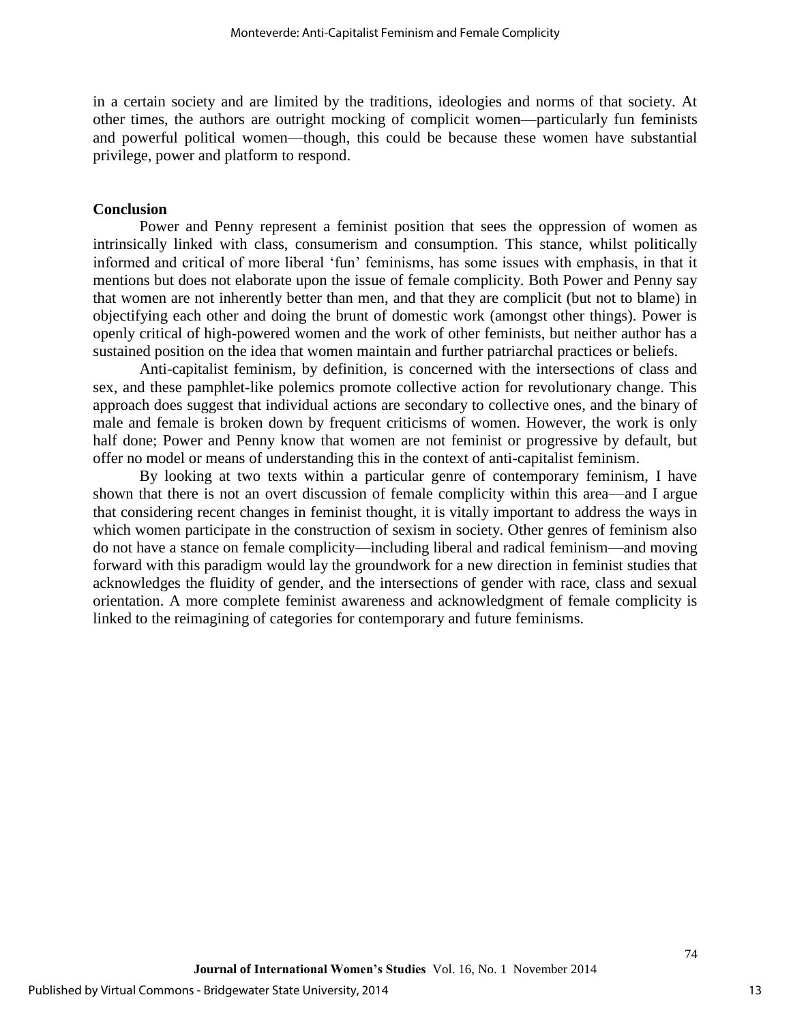in a certain society and are limited by the traditions, ideologies and norms of that society. At other times, the authors are outright mocking of complicit women—particularly fun feminists and powerful political women—though, this could be because these women have substantial privilege, power and platform to respond.

#### **Conclusion**

Power and Penny represent a feminist position that sees the oppression of women as intrinsically linked with class, consumerism and consumption. This stance, whilst politically informed and critical of more liberal 'fun' feminisms, has some issues with emphasis, in that it mentions but does not elaborate upon the issue of female complicity. Both Power and Penny say that women are not inherently better than men, and that they are complicit (but not to blame) in objectifying each other and doing the brunt of domestic work (amongst other things). Power is openly critical of high-powered women and the work of other feminists, but neither author has a sustained position on the idea that women maintain and further patriarchal practices or beliefs.

Anti-capitalist feminism, by definition, is concerned with the intersections of class and sex, and these pamphlet-like polemics promote collective action for revolutionary change. This approach does suggest that individual actions are secondary to collective ones, and the binary of male and female is broken down by frequent criticisms of women. However, the work is only half done; Power and Penny know that women are not feminist or progressive by default, but offer no model or means of understanding this in the context of anti-capitalist feminism.

By looking at two texts within a particular genre of contemporary feminism, I have shown that there is not an overt discussion of female complicity within this area—and I argue that considering recent changes in feminist thought, it is vitally important to address the ways in which women participate in the construction of sexism in society. Other genres of feminism also do not have a stance on female complicity—including liberal and radical feminism—and moving forward with this paradigm would lay the groundwork for a new direction in feminist studies that acknowledges the fluidity of gender, and the intersections of gender with race, class and sexual orientation. A more complete feminist awareness and acknowledgment of female complicity is linked to the reimagining of categories for contemporary and future feminisms.